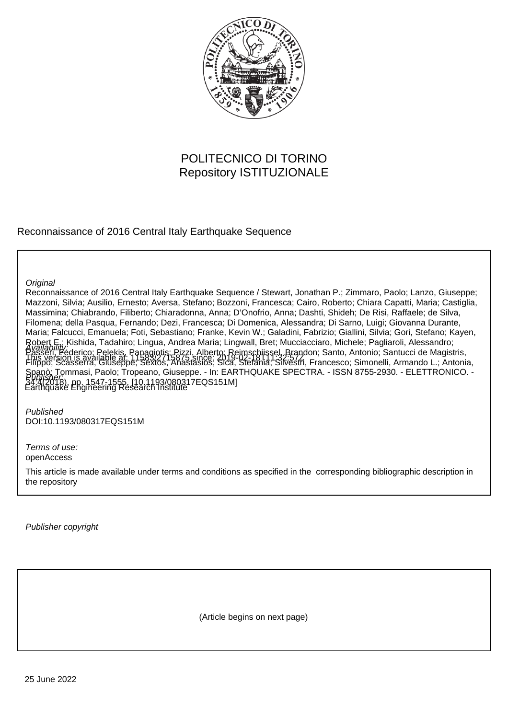

# POLITECNICO DI TORINO Repository ISTITUZIONALE

Reconnaissance of 2016 Central Italy Earthquake Sequence

**Original** 

Reconnaissance of 2016 Central Italy Earthquake Sequence / Stewart, Jonathan P.; Zimmaro, Paolo; Lanzo, Giuseppe; Mazzoni, Silvia; Ausilio, Ernesto; Aversa, Stefano; Bozzoni, Francesca; Cairo, Roberto; Chiara Capatti, Maria; Castiglia, Massimina; Chiabrando, Filiberto; Chiaradonna, Anna; D'Onofrio, Anna; Dashti, Shideh; De Risi, Raffaele; de Silva, Filomena; della Pasqua, Fernando; Dezi, Francesca; Di Domenica, Alessandra; Di Sarno, Luigi; Giovanna Durante, Maria; Falcucci, Emanuela; Foti, Sebastiano; Franke, Kevin W.; Galadini, Fabrizio; Giallini, Silvia; Gori, Stefano; Kayen, Robert E.; Kishida, Tadahiro; Lingua, Andrea Maria; Lingwall, Bret; Mucciacciaro, Michele; Pagliaroli, Alessandro; Passeri, Pederico; Pelekis, Papagiotis; Pizzi, Alberto; Reimschüssel, Brandon; Santo, Antonio; Santucci de Magistris, Filippo; Scasserra, Giuseppe; Sextos, Anastasios; Sica, Stefania; Silvestri, Francesco; Simonelli, Armando L.; Antonia, Spanò; Tommasi, Paolo; Tropeano, Giuseppe. - In: EARTHQUAKE SPECTRA. - ISSN 8755-2930. - ELETTRONICO. - 34:4(2018), pp. 1547-1555. [10.1193/080317EQS151M] Publisher: Availability: This version is available at: 11583/2715875 since: 2019-02-18T11:32:57Z Earthquake Engineering Research Institute

Published DOI:10.1193/080317EQS151M

Terms of use: openAccess

This article is made available under terms and conditions as specified in the corresponding bibliographic description in the repository

Publisher copyright

(Article begins on next page)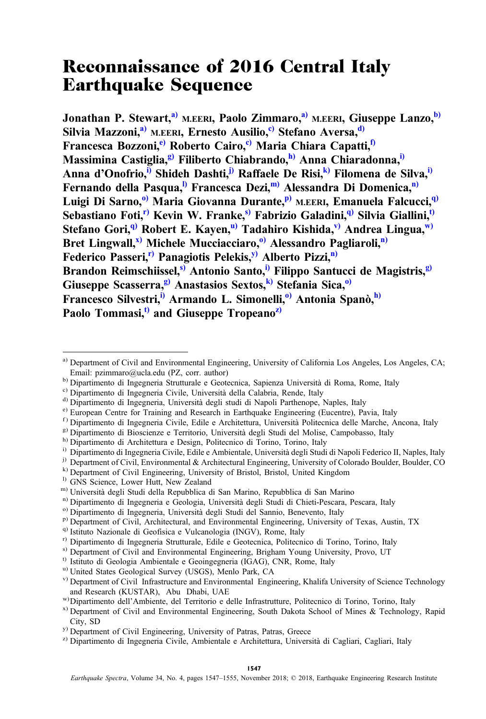# Reconnaissance of 2016 Central Italy Earthquake Sequence

Jonathan P. Stewart,<sup>a)</sup> M.EERI, Paolo Zimmaro,<sup>a)</sup> M.EERI, Giuseppe Lanzo,<sup>b)</sup> Silvia Mazzoni,<sup>a)</sup> M.EERI, Ernesto Ausilio,<sup>c)</sup> Stefano Aversa,<sup>d)</sup> Francesca Bozzoni,<sup>e)</sup> Roberto Cairo,<sup>c)</sup> Maria Chiara Capatti,<sup>f)</sup> Massimina Castiglia, <sup>g)</sup> Filiberto Chiabrando, <sup>h)</sup> Anna Chiaradonna, <sup>i)</sup> Anna d'Onofrio,<sup>i)</sup> Shideh Dashti,<sup>j)</sup> Raffaele De Risi,<sup>k)</sup> Filomena de Silva,<sup>i)</sup> Fernando della Pasqua,<sup>l)</sup> Francesca Dezi,<sup>m)</sup> Alessandra Di Domenica,<sup>n)</sup> Luigi Di Sarno,<sup>o)</sup> Maria Giovanna Durante,<sup>p)</sup> M.EERI, Emanuela Falcucci,<sup>q)</sup> Sebastiano Foti,<sup>r)</sup> Kevin W. Franke,<sup>s)</sup> Fabrizio Galadini,<sup>q)</sup> Silvia Giallini,<sup>t)</sup> Stefano Gori,<sup>q)</sup> Robert E. Kayen,<sup>u)</sup> Tadahiro Kishida,<sup>v)</sup> Andrea Lingua,<sup>w)</sup> Bret Lingwall,<sup>x)</sup> Michele Mucciacciaro,<sup>o)</sup> Alessandro Pagliaroli,<sup>n)</sup> Federico Passeri,<sup>r)</sup> Panagiotis Pelekis,<sup>y)</sup> Alberto Pizzi,<sup>n)</sup> Brandon Reimschiissel,<sup>s)</sup> Antonio Santo,<sup>i)</sup> Filippo Santucci de Magistris,<sup>g)</sup> Giuseppe Scasserra, <sup>g)</sup> Anastasios Sextos, <sup>k)</sup> Stefania Sica, <sup>0</sup> Francesco Silvestri,<sup>i)</sup> Armando L. Simonelli,<sup>o)</sup> Antonia Spanò, <sup>h)</sup> Paolo Tommasi,<sup>t)</sup> and Giuseppe Tropeano<sup>z)</sup>

- f) Dipartimento di Ingegneria Civile, Edile e Architettura, Università Politecnica delle Marche, Ancona, Italy
- g) Dipartimento di Bioscienze e Territorio, Università degli Studi del Molise, Campobasso, Italy

<sup>1)</sup> GNS Science, Lower Hutt, New Zealand

n) Dipartimento di Ingegneria e Geologia, Università degli Studi di Chieti-Pescara, Pescara, Italy

q) Istituto Nazionale di Geofisica e Vulcanologia (INGV), Rome, Italy

- s) Department of Civil and Environmental Engineering, Brigham Young University, Provo, UT
- t) Istituto di Geologia Ambientale e Geoingegneria (IGAG), CNR, Rome, Italy
- u) United States Geological Survey (USGS), Menlo Park, CA

w)Dipartimento dell'Ambiente, del Territorio e delle Infrastrutture, Politecnico di Torino, Torino, Italy

- y) Department of Civil Engineering, University of Patras, Patras, Greece
- z) Dipartimento di Ingegneria Civile, Ambientale e Architettura, Università di Cagliari, Cagliari, Italy

a) Department of Civil and Environmental Engineering, University of California Los Angeles, Los Angeles, CA; Email: pzimmaro@ucla.edu (PZ, corr. author)

b) Dipartimento di Ingegneria Strutturale e Geotecnica, Sapienza Università di Roma, Rome, Italy

c) Dipartimento di Ingegneria Civile, Università della Calabria, Rende, Italy

d) Dipartimento di Ingegneria, Università degli studi di Napoli Parthenope, Naples, Italy

e) European Centre for Training and Research in Earthquake Engineering (Eucentre), Pavia, Italy

h) Dipartimento di Architettura e Design, Politecnico di Torino, Torino, Italy

i) Dipartimento di Ingegneria Civile, Edile e Ambientale, Università degli Studi di Napoli Federico II, Naples, Italy

j) Department of Civil, Environmental & Architectural Engineering, University of Colorado Boulder, Boulder, CO

k) Department of Civil Engineering, University of Bristol, Bristol, United Kingdom

m) Università degli Studi della Repubblica di San Marino, Repubblica di San Marino

o) Dipartimento di Ingegneria, Università degli Studi del Sannio, Benevento, Italy

p) Department of Civil, Architectural, and Environmental Engineering, University of Texas, Austin, TX

r) Dipartimento di Ingegneria Strutturale, Edile e Geotecnica, Politecnico di Torino, Torino, Italy

v) Department of Civil Infrastructure and Environmental Engineering, Khalifa University of Science Technology and Research (KUSTAR), Abu Dhabi, UAE

x) Department of Civil and Environmental Engineering, South Dakota School of Mines & Technology, Rapid City, SD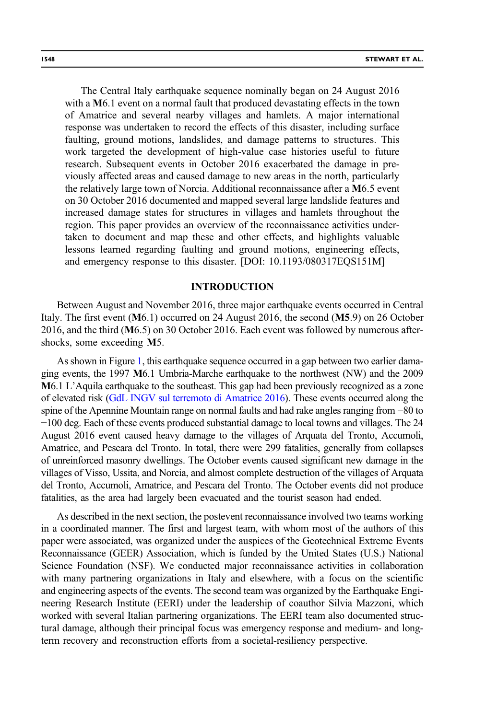The Central Italy earthquake sequence nominally began on 24 August 2016 with a M6.1 event on a normal fault that produced devastating effects in the town of Amatrice and several nearby villages and hamlets. A major international response was undertaken to record the effects of this disaster, including surface faulting, ground motions, landslides, and damage patterns to structures. This work targeted the development of high-value case histories useful to future research. Subsequent events in October 2016 exacerbated the damage in previously affected areas and caused damage to new areas in the north, particularly the relatively large town of Norcia. Additional reconnaissance after a M6.5 event on 30 October 2016 documented and mapped several large landslide features and increased damage states for structures in villages and hamlets throughout the region. This paper provides an overview of the reconnaissance activities undertaken to document and map these and other effects, and highlights valuable lessons learned regarding faulting and ground motions, engineering effects, and emergency response to this disaster. [DOI: 10.1193/080317EQS151M]

## INTRODUCTION

Between August and November 2016, three major earthquake events occurred in Central Italy. The first event (M6.1) occurred on 24 August 2016, the second (M5.9) on 26 October 2016, and the third (M6.5) on 30 October 2016. Each event was followed by numerous aftershocks, some exceeding M5.

As shown in Figure 1, this earthquake sequence occurred in a gap between two earlier damaging events, the 1997 M6.1 Umbria-Marche earthquake to the northwest (NW) and the 2009 M6.1 L'Aquila earthquake to the southeast. This gap had been previously recognized as a zone of elevated risk (GdL INGV sul terremoto di Amatrice 2016). These events occurred along the 2016, and the third (M6.5) on 30 October 2016. Each event was followed by numerous after-<br>shocks, some exceeding M5.<br>As shown in Figure 1, this earthquake sequence occurred in a gap between two earlier dama-<br>ging events, 100 deg. Each of these events produced substantial damage to local towns and villages. The 24 August 2016 event caused heavy damage to the villages of Arquata del Tronto, Accumoli, Amatrice, and Pescara del Tronto. In total, there were 299 fatalities, generally from collapses of unreinforced masonry dwellings. The October events caused significant new damage in the villages of Visso, Ussita, and Norcia, and almost complete destruction of the villages of Arquata del Tronto, Accumoli, Amatrice, and Pescara del Tronto. The October events did not produce fatalities, as the area had largely been evacuated and the tourist season had ended.

As described in the next section, the postevent reconnaissance involved two teams working in a coordinated manner. The first and largest team, with whom most of the authors of this paper were associated, was organized under the auspices of the Geotechnical Extreme Events Reconnaissance (GEER) Association, which is funded by the United States (U.S.) National Science Foundation (NSF). We conducted major reconnaissance activities in collaboration with many partnering organizations in Italy and elsewhere, with a focus on the scientific and engineering aspects of the events. The second team was organized by the Earthquake Engineering Research Institute (EERI) under the leadership of coauthor Silvia Mazzoni, which worked with several Italian partnering organizations. The EERI team also documented structural damage, although their principal focus was emergency response and medium- and longterm recovery and reconstruction efforts from a societal-resiliency perspective.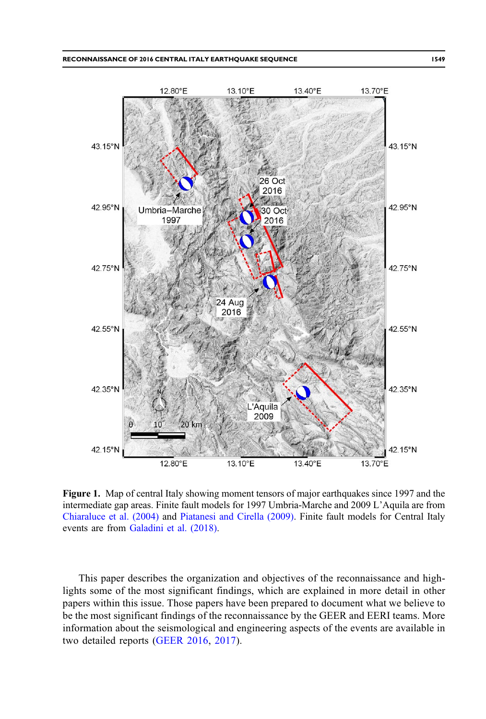

Figure 1. Map of central Italy showing moment tensors of major earthquakes since 1997 and the intermediate gap areas. Finite fault models for 1997 Umbria-Marche and 2009 L'Aquila are from Chiaraluce et al. (2004) and Piatanesi and Cirella (2009). Finite fault models for Central Italy events are from Galadini et al. (2018).

This paper describes the organization and objectives of the reconnaissance and highlights some of the most significant findings, which are explained in more detail in other papers within this issue. Those papers have been prepared to document what we believe to be the most significant findings of the reconnaissance by the GEER and EERI teams. More information about the seismological and engineering aspects of the events are available in two detailed reports (GEER 2016, 2017).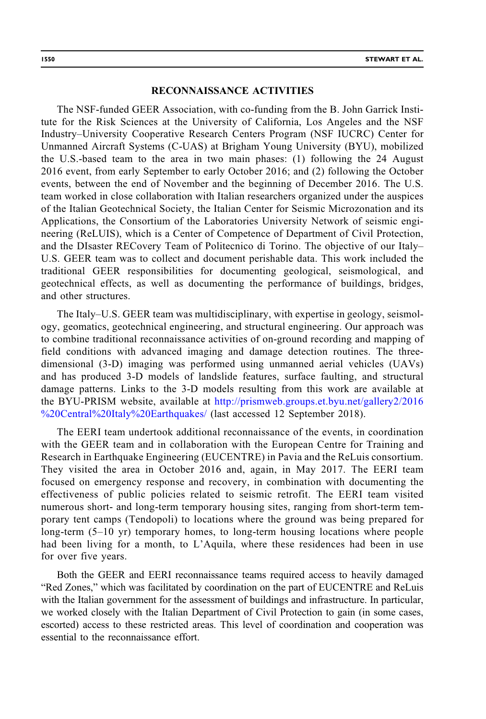#### RECONNAISSANCE ACTIVITIES

The NSF-funded GEER Association, with co-funding from the B. John Garrick Institute for the Risk Sciences at the University of California, Los Angeles and the NSF Industry–University Cooperative Research Centers Program (NSF IUCRC) Center for Unmanned Aircraft Systems (C-UAS) at Brigham Young University (BYU), mobilized the U.S.-based team to the area in two main phases: (1) following the 24 August 2016 event, from early September to early October 2016; and (2) following the October events, between the end of November and the beginning of December 2016. The U.S. team worked in close collaboration with Italian researchers organized under the auspices of the Italian Geotechnical Society, the Italian Center for Seismic Microzonation and its Applications, the Consortium of the Laboratories University Network of seismic engineering (ReLUIS), which is a Center of Competence of Department of Civil Protection, and the DIsaster RECovery Team of Politecnico di Torino. The objective of our Italy– U.S. GEER team was to collect and document perishable data. This work included the traditional GEER responsibilities for documenting geological, seismological, and geotechnical effects, as well as documenting the performance of buildings, bridges, and other structures.

The Italy–U.S. GEER team was multidisciplinary, with expertise in geology, seismology, geomatics, geotechnical engineering, and structural engineering. Our approach was to combine traditional reconnaissance activities of on-ground recording and mapping of field conditions with advanced imaging and damage detection routines. The threedimensional (3-D) imaging was performed using unmanned aerial vehicles (UAVs) and has produced 3-D models of landslide features, surface faulting, and structural damage patterns. Links to the 3-D models resulting from this work are available at the BYU-PRISM website, available at [http://prismweb.groups.et.byu.net/gallery2/2016](http://prismweb.groups.et.byu.net/gallery2/201620Central20Italy20Earthquakes/) %[20Central](http://prismweb.groups.et.byu.net/gallery2/201620Central20Italy20Earthquakes/)%[20Italy](http://prismweb.groups.et.byu.net/gallery2/201620Central20Italy20Earthquakes/)%[20Earthquakes/](http://prismweb.groups.et.byu.net/gallery2/201620Central20Italy20Earthquakes/) (last accessed 12 September 2018).

The EERI team undertook additional reconnaissance of the events, in coordination with the GEER team and in collaboration with the European Centre for Training and Research in Earthquake Engineering (EUCENTRE) in Pavia and the ReLuis consortium. They visited the area in October 2016 and, again, in May 2017. The EERI team focused on emergency response and recovery, in combination with documenting the effectiveness of public policies related to seismic retrofit. The EERI team visited numerous short- and long-term temporary housing sites, ranging from short-term temporary tent camps (Tendopoli) to locations where the ground was being prepared for long-term (5–10 yr) temporary homes, to long-term housing locations where people had been living for a month, to L'Aquila, where these residences had been in use for over five years.

Both the GEER and EERI reconnaissance teams required access to heavily damaged "Red Zones," which was facilitated by coordination on the part of EUCENTRE and ReLuis with the Italian government for the assessment of buildings and infrastructure. In particular, we worked closely with the Italian Department of Civil Protection to gain (in some cases, escorted) access to these restricted areas. This level of coordination and cooperation was essential to the reconnaissance effort.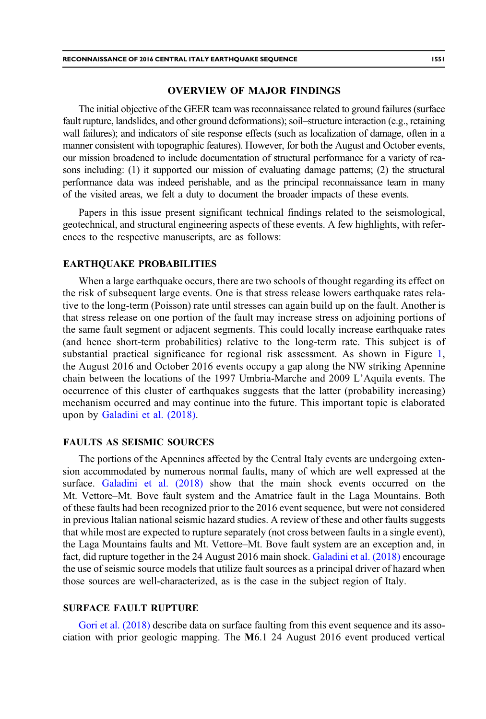#### OVERVIEW OF MAJOR FINDINGS

The initial objective of the GEER team was reconnaissance related to ground failures (surface fault rupture, landslides, and other ground deformations); soil–structure interaction (e.g., retaining wall failures); and indicators of site response effects (such as localization of damage, often in a manner consistent with topographic features). However, for both the August and October events, our mission broadened to include documentation of structural performance for a variety of reasons including: (1) it supported our mission of evaluating damage patterns; (2) the structural performance data was indeed perishable, and as the principal reconnaissance team in many of the visited areas, we felt a duty to document the broader impacts of these events.

Papers in this issue present significant technical findings related to the seismological, geotechnical, and structural engineering aspects of these events. A few highlights, with references to the respective manuscripts, are as follows:

#### EARTHQUAKE PROBABILITIES

When a large earthquake occurs, there are two schools of thought regarding its effect on the risk of subsequent large events. One is that stress release lowers earthquake rates relative to the long-term (Poisson) rate until stresses can again build up on the fault. Another is that stress release on one portion of the fault may increase stress on adjoining portions of the same fault segment or adjacent segments. This could locally increase earthquake rates (and hence short-term probabilities) relative to the long-term rate. This subject is of substantial practical significance for regional risk assessment. As shown in Figure 1, the August 2016 and October 2016 events occupy a gap along the NW striking Apennine chain between the locations of the 1997 Umbria-Marche and 2009 L'Aquila events. The occurrence of this cluster of earthquakes suggests that the latter (probability increasing) mechanism occurred and may continue into the future. This important topic is elaborated upon by Galadini et al. (2018).

#### FAULTS AS SEISMIC SOURCES

The portions of the Apennines affected by the Central Italy events are undergoing extension accommodated by numerous normal faults, many of which are well expressed at the surface. Galadini et al. (2018) show that the main shock events occurred on the Mt. Vettore–Mt. Bove fault system and the Amatrice fault in the Laga Mountains. Both of these faults had been recognized prior to the 2016 event sequence, but were not considered in previous Italian national seismic hazard studies. A review of these and other faults suggests that while most are expected to rupture separately (not cross between faults in a single event), the Laga Mountains faults and Mt. Vettore–Mt. Bove fault system are an exception and, in fact, did rupture together in the 24 August 2016 main shock. Galadini et al. (2018) encourage the use of seismic source models that utilize fault sources as a principal driver of hazard when those sources are well-characterized, as is the case in the subject region of Italy.

### SURFACE FAULT RUPTURE

Gori et al. (2018) describe data on surface faulting from this event sequence and its association with prior geologic mapping. The M6.1 24 August 2016 event produced vertical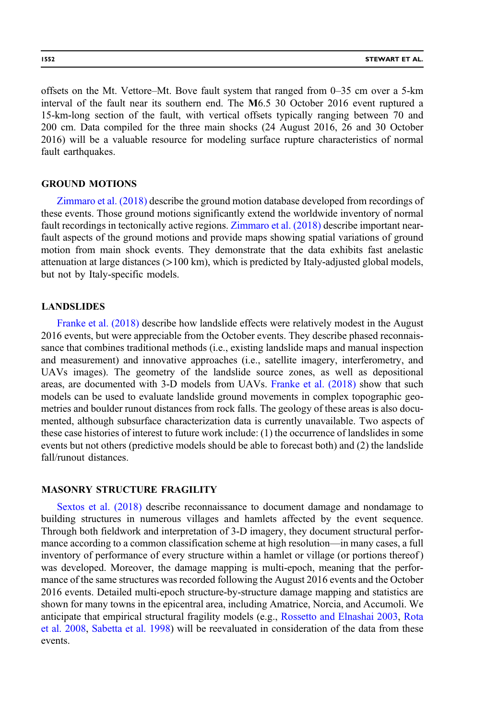offsets on the Mt. Vettore–Mt. Bove fault system that ranged from 0–35 cm over a 5-km interval of the fault near its southern end. The M6.5 30 October 2016 event ruptured a 15-km-long section of the fault, with vertical offsets typically ranging between 70 and 200 cm. Data compiled for the three main shocks (24 August 2016, 26 and 30 October 2016) will be a valuable resource for modeling surface rupture characteristics of normal fault earthquakes.

#### GROUND MOTIONS

Zimmaro et al. (2018) describe the ground motion database developed from recordings of these events. Those ground motions significantly extend the worldwide inventory of normal fault recordings in tectonically active regions. Zimmaro et al. (2018) describe important nearfault aspects of the ground motions and provide maps showing spatial variations of ground motion from main shock events. They demonstrate that the data exhibits fast anelastic attenuation at large distances (>100 km), which is predicted by Italy-adjusted global models, but not by Italy-specific models.

#### LANDSLIDES

Franke et al. (2018) describe how landslide effects were relatively modest in the August 2016 events, but were appreciable from the October events. They describe phased reconnaissance that combines traditional methods (i.e., existing landslide maps and manual inspection and measurement) and innovative approaches (i.e., satellite imagery, interferometry, and UAVs images). The geometry of the landslide source zones, as well as depositional areas, are documented with 3-D models from UAVs. Franke et al. (2018) show that such models can be used to evaluate landslide ground movements in complex topographic geometries and boulder runout distances from rock falls. The geology of these areas is also documented, although subsurface characterization data is currently unavailable. Two aspects of these case histories of interest to future work include: (1) the occurrence of landslides in some events but not others (predictive models should be able to forecast both) and (2) the landslide fall/runout distances.

#### MASONRY STRUCTURE FRAGILITY

Sextos et al. (2018) describe reconnaissance to document damage and nondamage to building structures in numerous villages and hamlets affected by the event sequence. Through both fieldwork and interpretation of 3-D imagery, they document structural performance according to a common classification scheme at high resolution—in many cases, a full inventory of performance of every structure within a hamlet or village (or portions thereof ) was developed. Moreover, the damage mapping is multi-epoch, meaning that the performance of the same structures was recorded following the August 2016 events and the October 2016 events. Detailed multi-epoch structure-by-structure damage mapping and statistics are shown for many towns in the epicentral area, including Amatrice, Norcia, and Accumoli. We anticipate that empirical structural fragility models (e.g., Rossetto and Elnashai 2003, Rota et al. 2008, Sabetta et al. 1998) will be reevaluated in consideration of the data from these events.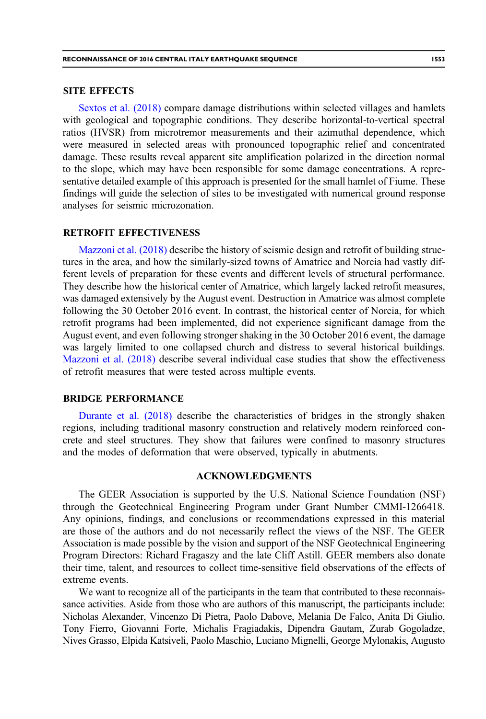#### SITE EFFECTS

Sextos et al. (2018) compare damage distributions within selected villages and hamlets with geological and topographic conditions. They describe horizontal-to-vertical spectral ratios (HVSR) from microtremor measurements and their azimuthal dependence, which were measured in selected areas with pronounced topographic relief and concentrated damage. These results reveal apparent site amplification polarized in the direction normal to the slope, which may have been responsible for some damage concentrations. A representative detailed example of this approach is presented for the small hamlet of Fiume. These findings will guide the selection of sites to be investigated with numerical ground response analyses for seismic microzonation.

#### RETROFIT EFFECTIVENESS

Mazzoni et al. (2018) describe the history of seismic design and retrofit of building structures in the area, and how the similarly-sized towns of Amatrice and Norcia had vastly different levels of preparation for these events and different levels of structural performance. They describe how the historical center of Amatrice, which largely lacked retrofit measures, was damaged extensively by the August event. Destruction in Amatrice was almost complete following the 30 October 2016 event. In contrast, the historical center of Norcia, for which retrofit programs had been implemented, did not experience significant damage from the August event, and even following stronger shaking in the 30 October 2016 event, the damage was largely limited to one collapsed church and distress to several historical buildings. Mazzoni et al. (2018) describe several individual case studies that show the effectiveness of retrofit measures that were tested across multiple events.

#### BRIDGE PERFORMANCE

Durante et al. (2018) describe the characteristics of bridges in the strongly shaken regions, including traditional masonry construction and relatively modern reinforced concrete and steel structures. They show that failures were confined to masonry structures and the modes of deformation that were observed, typically in abutments.

#### ACKNOWLEDGMENTS

The GEER Association is supported by the U.S. National Science Foundation (NSF) through the Geotechnical Engineering Program under Grant Number CMMI-1266418. Any opinions, findings, and conclusions or recommendations expressed in this material are those of the authors and do not necessarily reflect the views of the NSF. The GEER Association is made possible by the vision and support of the NSF Geotechnical Engineering Program Directors: Richard Fragaszy and the late Cliff Astill. GEER members also donate their time, talent, and resources to collect time-sensitive field observations of the effects of extreme events.

We want to recognize all of the participants in the team that contributed to these reconnaissance activities. Aside from those who are authors of this manuscript, the participants include: Nicholas Alexander, Vincenzo Di Pietra, Paolo Dabove, Melania De Falco, Anita Di Giulio, Tony Fierro, Giovanni Forte, Michalis Fragiadakis, Dipendra Gautam, Zurab Gogoladze, Nives Grasso, Elpida Katsiveli, Paolo Maschio, Luciano Mignelli, George Mylonakis, Augusto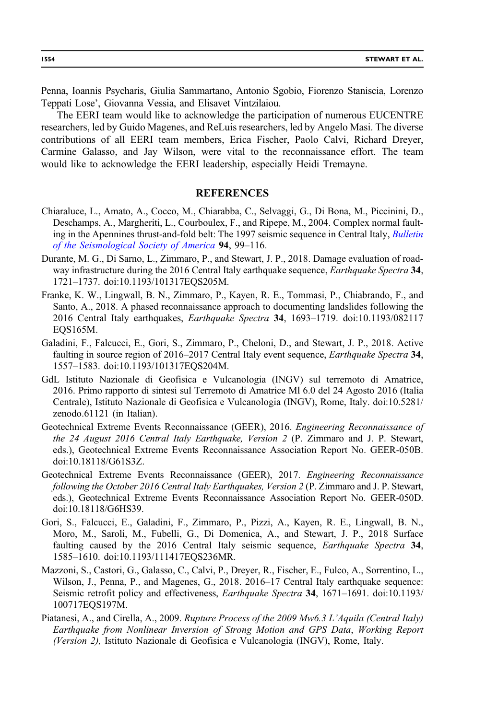Penna, Ioannis Psycharis, Giulia Sammartano, Antonio Sgobio, Fiorenzo Staniscia, Lorenzo Teppati Lose', Giovanna Vessia, and Elisavet Vintzilaiou.

The EERI team would like to acknowledge the participation of numerous EUCENTRE researchers, led by Guido Magenes, and ReLuis researchers, led by Angelo Masi. The diverse contributions of all EERI team members, Erica Fischer, Paolo Calvi, Richard Dreyer, Carmine Galasso, and Jay Wilson, were vital to the reconnaissance effort. The team would like to acknowledge the EERI leadership, especially Heidi Tremayne.

#### **REFERENCES**

- Chiaraluce, L., Amato, A., Cocco, M., Chiarabba, C., Selvaggi, G., Di Bona, M., Piccinini, D., Deschamps, A., Margheriti, L., Courboulex, F., and Ripepe, M., 2004. Complex normal faulting in the Apennines thrust-and-fold belt: The 1997 seismic sequence in Central Italy, *[Bulletin](http://dx.doi.org/10.1785/0120020052)* [of the Seismological Society of America](http://dx.doi.org/10.1785/0120020052) 94, 99–116.
- Durante, M. G., Di Sarno, L., Zimmaro, P., and Stewart, J. P., 2018. Damage evaluation of roadway infrastructure during the 2016 Central Italy earthquake sequence, *Earthquake Spectra* 34, 1721–1737. doi:10.1193/101317EQS205M.
- Franke, K. W., Lingwall, B. N., Zimmaro, P., Kayen, R. E., Tommasi, P., Chiabrando, F., and Santo, A., 2018. A phased reconnaissance approach to documenting landslides following the 2016 Central Italy earthquakes, Earthquake Spectra 34, 1693–1719. doi:10.1193/082117 EQS165M.
- Galadini, F., Falcucci, E., Gori, S., Zimmaro, P., Cheloni, D., and Stewart, J. P., 2018. Active faulting in source region of 2016–2017 Central Italy event sequence, Earthquake Spectra 34, 1557–1583. doi:10.1193/101317EQS204M.
- GdL Istituto Nazionale di Geofisica e Vulcanologia (INGV) sul terremoto di Amatrice, 2016. Primo rapporto di sintesi sul Terremoto di Amatrice Ml 6.0 del 24 Agosto 2016 (Italia Centrale), Istituto Nazionale di Geofisica e Vulcanologia (INGV), Rome, Italy. doi:10.5281/ zenodo.61121 (in Italian).
- Geotechnical Extreme Events Reconnaissance (GEER), 2016. Engineering Reconnaissance of the 24 August 2016 Central Italy Earthquake, Version 2 (P. Zimmaro and J. P. Stewart, eds.), Geotechnical Extreme Events Reconnaissance Association Report No. GEER-050B. doi:10.18118/G61S3Z.
- Geotechnical Extreme Events Reconnaissance (GEER), 2017. Engineering Reconnaissance following the October 2016 Central Italy Earthquakes, Version 2 (P. Zimmaro and J. P. Stewart, eds.), Geotechnical Extreme Events Reconnaissance Association Report No. GEER-050D. doi:10.18118/G6HS39.
- Gori, S., Falcucci, E., Galadini, F., Zimmaro, P., Pizzi, A., Kayen, R. E., Lingwall, B. N., Moro, M., Saroli, M., Fubelli, G., Di Domenica, A., and Stewart, J. P., 2018 Surface faulting caused by the 2016 Central Italy seismic sequence, *Earthquake Spectra* 34, 1585–1610. doi:10.1193/111417EQS236MR.
- Mazzoni, S., Castori, G., Galasso, C., Calvi, P., Dreyer, R., Fischer, E., Fulco, A., Sorrentino, L., Wilson, J., Penna, P., and Magenes, G., 2018. 2016–17 Central Italy earthquake sequence: Seismic retrofit policy and effectiveness, *Earthquake Spectra* 34, 1671–1691. doi:10.1193/ 100717EQS197M.
- Piatanesi, A., and Cirella, A., 2009. Rupture Process of the 2009 Mw6.3 L'Aquila (Central Italy) Earthquake from Nonlinear Inversion of Strong Motion and GPS Data, Working Report (Version 2), Istituto Nazionale di Geofisica e Vulcanologia (INGV), Rome, Italy.